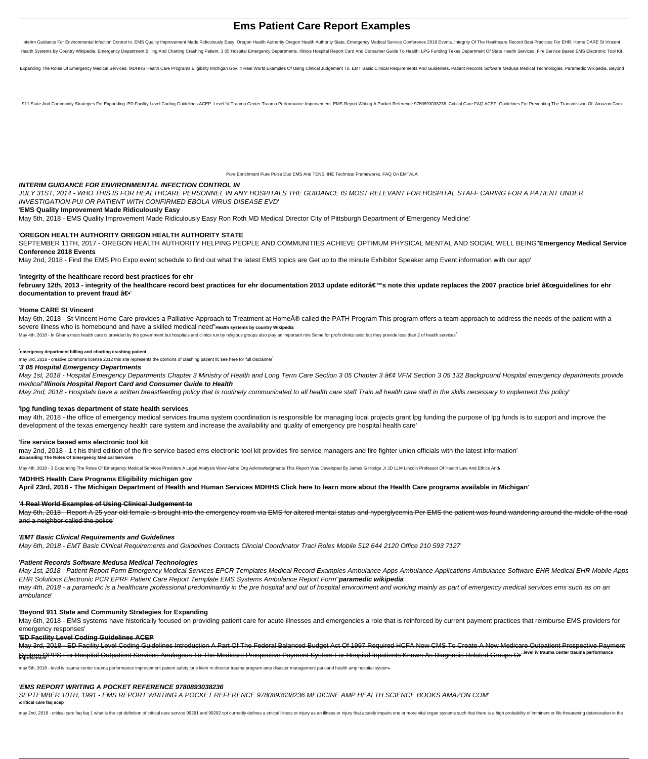# **Ems Patient Care Report Examples**

Interim Guidance For Environmental Infection Control In. EMS Quality Improvement Made Ridiculously Easy. Oregon Health Authority Oregon Health Authority State. Emergency Medical Service Conference 2018 Events. Integrity Of Health Systems By Country Wikipedia. Emergency Department Billing And Charting Crashing Patient. 3 05 Hospital Emergency Departments. Illinois Hospital Report Card And Consumer Guide To Health. LPG Funding Texas Department

Expanding The Roles Of Emergency Medical Services, MDHHS Health Care Programs Eligibility Michigan Goy. 4 Real World Examples Of Using Clinical Judgement To, EMT Basic Clinical Requirements And Guidelines, Patient Records

911 State And Community Strategies For Expanding. ED Facility Level Coding Guidelines ACEP. Level IV Trauma Center Trauma Performance Improvement. EMS Report Writing A Pocket Reference 9780893038236. Critical Care FAQ ACEP

Pure Enrichment Pure Pulse Duo EMS And TENS. IHE Technical Frameworks. FAQ On EMTALA

# **INTERIM GUIDANCE FOR ENVIRONMENTAL INFECTION CONTROL IN**

May 6th, 2018 - St Vincent Home Care provides a Palliative Approach to Treatment at Home® called the PATH Program This program offers a team approach to address the needs of the patient with a severe illness who is homebound and have a skilled medical need''**Health systems by country Wikipedia**

May 4th, 2018 - In Ghana most health care is provided by the government but hospitals and clinics run by religious groups also play an important role Some for profit clinics exist but they provide less than 2 of health ser

JULY 31ST, 2014 - WHO THIS IS FOR HEALTHCARE PERSONNEL IN ANY HOSPITALS THE GUIDANCE IS MOST RELEVANT FOR HOSPITAL STAFF CARING FOR A PATIENT UNDER INVESTIGATION PUI OR PATIENT WITH CONFIRMED EBOLA VIRUS DISEASE EVD'

# '**EMS Quality Improvement Made Ridiculously Easy**

May 5th, 2018 - EMS Quality Improvement Made Ridiculously Easy Ron Roth MD Medical Director City of Pittsburgh Department of Emergency Medicine'

May 1st, 2018 - Hospital Emergency Departments Chapter 3 Ministry of Health and Long Term Care Section 3 05 Chapter 3 • VFM Section 3 05 132 Background Hospital emergency departments provide medical''**Illinois Hospital Report Card and Consumer Guide to Health**

May 2nd, 2018 - Hospitals have a written breastfeeding policy that is routinely communicated to all health care staff Train all health care staff in the skills necessary to implement this policy'

# '**OREGON HEALTH AUTHORITY OREGON HEALTH AUTHORITY STATE**

SEPTEMBER 11TH, 2017 - OREGON HEALTH AUTHORITY HELPING PEOPLE AND COMMUNITIES ACHIEVE OPTIMUM PHYSICAL MENTAL AND SOCIAL WELL BEING''**Emergency Medical Service Conference 2018 Events**

May 2nd, 2018 - Find the EMS Pro Expo event schedule to find out what the latest EMS topics are Get up to the minute Exhibitor Speaker amp Event information with our app'

# '**integrity of the healthcare record best practices for ehr**

february 12th, 2013 - integrity of the healthcare record best practices for ehr documentation 2013 update editor's note this update replaces the 2007 practice brief "guidelines for ehr **documentation to prevent fraud â€** 

#### '**Home CARE St Vincent**

May 1st, 2018 - Patient Report Form Emergency Medical Services EPCR Templates Medical Record Examples Ambulance Apps Ambulance Applications Ambulance Software EHR Medical EHR Mobile Apps EHR Solutions Electronic PCR EPRF Patient Care Report Template EMS Systems Ambulance Report Form''**paramedic wikipedia**

may 4th, 2018 - a paramedic is a healthcare professional predominantly in the pre hospital and out of hospital environment and working mainly as part of emergency medical services ems such as on an ambulance'

#### '**emergency department billing and charting crashing patient**

May 6th, 2018 - EMS systems have historically focused on providing patient care for acute illnesses and emergencies a role that is reinforced by current payment practices that reimburse EMS providers for emergency responses'

may 3rd, 2018 - creative commons license 2012 this site represents the opinions of crashing patient llc see here for full disclaimer'

# '**3 05 Hospital Emergency Departments**

# '**lpg funding texas department of state health services**

may 4th, 2018 - the office of emergency medical services trauma system coordination is responsible for managing local projects grant lpg funding the purpose of lpg funds is to support and improve the development of the texas emergency health care system and increase the availability and quality of emergency pre hospital health care'

#### '**fire service based ems electronic tool kit**

may 2nd, 2018 - 1 t his third edition of the fire service based ems electronic tool kit provides fire service managers and fire fighter union officials with the latest information' '**Expanding The Roles Of Emergency Medical Services**

May 4th, 2018 - 3 Expanding The Roles Of Emergency Medical Services Providers A Legal Analysis Www Astho Org Acknowledgments This Report Was Developed By James G Hodge Jr JD LLM Lincoln Professor Of Health Law And Ethics A

#### '**MDHHS Health Care Programs Eligibility michigan gov**

**April 23rd, 2018 - The Michigan Department of Health and Human Services MDHHS Click here to learn more about the Health Care programs available in Michigan**'

# '**4 Real World Examples of Using Clinical Judgement to**

May 6th, 2018 - Report A 25 year old female is brought into the emergency room via EMS for altered mental status and hyperglycemia Per EMS the patient was found wandering around the middle of the road and a neighbor called the police'

#### '**EMT Basic Clinical Requirements and Guidelines**

May 6th, 2018 - EMT Basic Clinical Requirements and Guidelines Contacts Clincial Coordinator Traci Roles Mobile 512 644 2120 Office 210 593 7127'

# '**Patient Records Software Medusa Medical Technologies**

#### '**Beyond 911 State and Community Strategies for Expanding**

#### '**ED Facility Level Coding Guidelines ACEP**

May 3rd, 2018 - ED Facility Level Coding Guidelines Introduction A Part Of The Federal Balanced Budget Act Of 1997 Required HCFA Now CMS To Create A New Medicare Outpatient Prospective Payment System OPPS For Hospital Outpatient Services Analogous To The Medicare Prospective Payment System For Hospital Inpatients Known As Diagnosis Related Groups Or"<sup>level iv</sup> trauma center trauma performance<br>Improvement

may 5th, 2018 - level iv trauma center trauma performance improvement patient safety jorie klein rn director trauma program amp disaster management parkland health amp hospital system

#### '**EMS REPORT WRITING A POCKET REFERENCE 9780893038236**

#### SEPTEMBER 10TH, 1991 - EMS REPORT WRITING A POCKET REFERENCE 9780893038236 MEDICINE AMP HEALTH SCIENCE BOOKS AMAZON COM' '**critical care faq acep**

may 2nd, 2018 - critical care faq faq 1 what is the cpt definition of critical care service 99291 and 99292 cpt currently defines a critical llness or injury as an illness or injury that acutely impairs one or more vital o